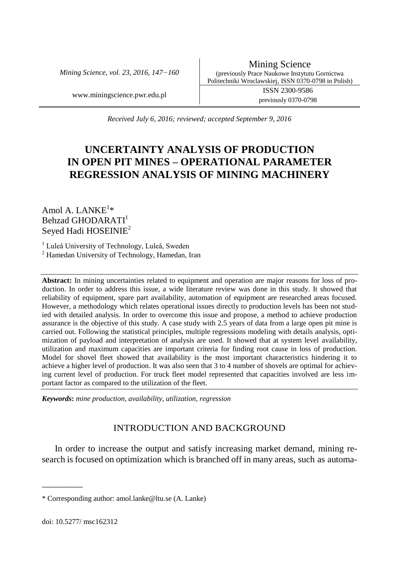*Mining Science, vol. 23, 2016, 147−160*

Mining Science (previously Prace Naukowe Instytutu Gornictwa Politechniki Wroclawskiej, ISSN 0370-0798 in Polish) www.miningscience.pwr.edu.pl ISSN 2300-9586

previously 0370-0798

*Received July 6, 2016; reviewed; accepted September 9, 2016*

# **UNCERTAINTY ANALYSIS OF PRODUCTION IN OPEN PIT MINES – OPERATIONAL PARAMETER REGRESSION ANALYSIS OF MINING MACHINERY**

Amol A. LAN $\mathrm{KE}^{1\ast}$ Behzad GHODARATI<sup>1</sup> Seyed Hadi HOSEINIE<sup>2</sup>

<sup>1</sup> Luleå University of Technology, Luleå, Sweden

<sup>2</sup> Hamedan University of Technology, Hamedan, Iran

**Abstract:** In mining uncertainties related to equipment and operation are major reasons for loss of production. In order to address this issue, a wide literature review was done in this study. It showed that reliability of equipment, spare part availability, automation of equipment are researched areas focused. However, a methodology which relates operational issues directly to production levels has been not studied with detailed analysis. In order to overcome this issue and propose, a method to achieve production assurance is the objective of this study. A case study with 2.5 years of data from a large open pit mine is carried out. Following the statistical principles, multiple regressions modeling with details analysis, optimization of payload and interpretation of analysis are used. It showed that at system level availability, utilization and maximum capacities are important criteria for finding root cause in loss of production. Model for shovel fleet showed that availability is the most important characteristics hindering it to achieve a higher level of production. It was also seen that 3 to 4 number of shovels are optimal for achieving current level of production. For truck fleet model represented that capacities involved are less important factor as compared to the utilization of the fleet.

*Keywords***:** *mine production, availability, utilization, regression*

# INTRODUCTION AND BACKGROUND

In order to increase the output and satisfy increasing market demand, mining research is focused on optimization which is branched off in many areas, such as automa-

\_\_\_\_\_\_\_\_\_

<sup>\*</sup> Corresponding author: amol.lanke@ltu.se (A. Lanke)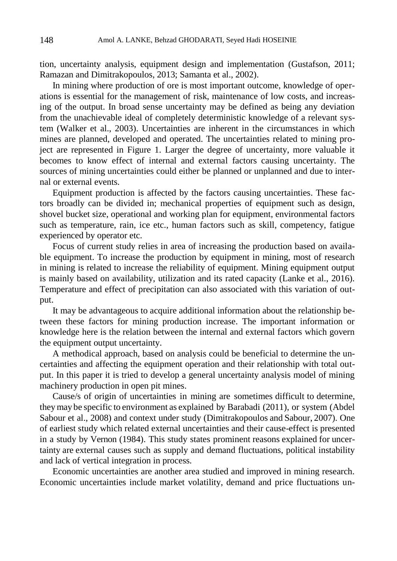tion, uncertainty analysis, equipment design and implementation (Gustafson, 2011; Ramazan and Dimitrakopoulos, 2013; Samanta et al., 2002).

In mining where production of ore is most important outcome, knowledge of operations is essential for the management of risk, maintenance of low costs, and increasing of the output. In broad sense uncertainty may be defined as being any deviation from the unachievable ideal of completely deterministic knowledge of a relevant system (Walker et al., 2003). Uncertainties are inherent in the circumstances in which mines are planned, developed and operated. The uncertainties related to mining project are represented in Figure 1. Larger the degree of uncertainty, more valuable it becomes to know effect of internal and external factors causing uncertainty. The sources of mining uncertainties could either be planned or unplanned and due to internal or external events.

Equipment production is affected by the factors causing uncertainties. These factors broadly can be divided in; mechanical properties of equipment such as design, shovel bucket size, operational and working plan for equipment, environmental factors such as temperature, rain, ice etc., human factors such as skill, competency, fatigue experienced by operator etc.

Focus of current study relies in area of increasing the production based on available equipment. To increase the production by equipment in mining, most of research in mining is related to increase the reliability of equipment. Mining equipment output is mainly based on availability, utilization and its rated capacity (Lanke et al., 2016). Temperature and effect of precipitation can also associated with this variation of output.

It may be advantageous to acquire additional information about the relationship between these factors for mining production increase. The important information or knowledge here is the relation between the internal and external factors which govern the equipment output uncertainty.

A methodical approach, based on analysis could be beneficial to determine the uncertainties and affecting the equipment operation and their relationship with total output. In this paper it is tried to develop a general uncertainty analysis model of mining machinery production in open pit mines.

Cause/s of origin of uncertainties in mining are sometimes difficult to determine, theymay be specific to environment as explained by Barabadi (2011), or system (Abdel Sabour et al., 2008) and context under study (Dimitrakopoulos and Sabour, 2007). One of earliest study which related external uncertainties and their cause-effect is presented in a study by Vernon (1984). This study states prominent reasons explained for uncertainty are external causes such as supply and demand fluctuations, political instability and lack of vertical integration in process.

Economic uncertainties are another area studied and improved in mining research. Economic uncertainties include market volatility, demand and price fluctuations un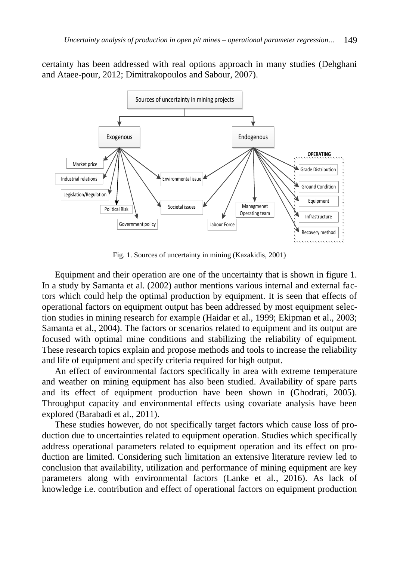certainty has been addressed with real options approach in many studies (Dehghani and Ataee-pour, 2012; Dimitrakopoulos and Sabour, 2007).



Fig. 1. Sources of uncertainty in mining (Kazakidis, 2001)

Equipment and their operation are one of the uncertainty that is shown in figure 1. In a study by Samanta et al. (2002) author mentions various internal and external factors which could help the optimal production by equipment. It is seen that effects of operational factors on equipment output has been addressed by most equipment selection studies in mining research for example (Haidar et al., 1999; Ekipman et al., 2003; Samanta et al., 2004). The factors or scenarios related to equipment and its output are focused with optimal mine conditions and stabilizing the reliability of equipment. These research topics explain and propose methods and tools to increase the reliability and life of equipment and specify criteria required for high output.

An effect of environmental factors specifically in area with extreme temperature and weather on mining equipment has also been studied. Availability of spare parts and its effect of equipment production have been shown in (Ghodrati, 2005). Throughput capacity and environmental effects using covariate analysis have been explored (Barabadi et al., 2011).

These studies however, do not specifically target factors which cause loss of production due to uncertainties related to equipment operation. Studies which specifically address operational parameters related to equipment operation and its effect on production are limited. Considering such limitation an extensive literature review led to conclusion that availability, utilization and performance of mining equipment are key parameters along with environmental factors (Lanke et al., 2016). As lack of knowledge i.e. contribution and effect of operational factors on equipment production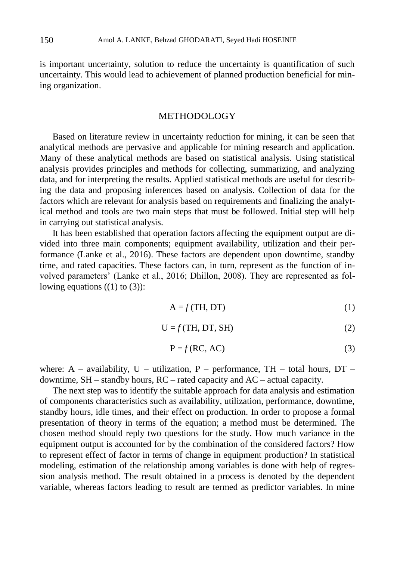is important uncertainty, solution to reduce the uncertainty is quantification of such uncertainty. This would lead to achievement of planned production beneficial for mining organization.

#### METHODOLOGY

Based on literature review in uncertainty reduction for mining, it can be seen that analytical methods are pervasive and applicable for mining research and application. Many of these analytical methods are based on statistical analysis. Using statistical analysis provides principles and methods for collecting, summarizing, and analyzing data, and for interpreting the results. Applied statistical methods are useful for describing the data and proposing inferences based on analysis. Collection of data for the factors which are relevant for analysis based on requirements and finalizing the analytical method and tools are two main steps that must be followed. Initial step will help in carrying out statistical analysis.

It has been established that operation factors affecting the equipment output are divided into three main components; equipment availability, utilization and their performance (Lanke et al., 2016). These factors are dependent upon downtime, standby time, and rated capacities. These factors can, in turn, represent as the function of involved parameters' (Lanke et al., 2016; Dhillon, 2008). They are represented as following equations  $((1)$  to  $(3)$ :

$$
A = f(TH, DT)
$$
 (1)

$$
U = f(TH, DT, SH)
$$
 (2)

$$
P = f(RC, AC)
$$
 (3)

where:  $A -$  availability,  $U -$  utilization,  $P -$  performance, TH – total hours, DT – downtime, SH – standby hours, RC – rated capacity and AC – actual capacity.

The next step was to identify the suitable approach for data analysis and estimation of components characteristics such as availability, utilization, performance, downtime, standby hours, idle times, and their effect on production. In order to propose a formal presentation of theory in terms of the equation; a method must be determined. The chosen method should reply two questions for the study. How much variance in the equipment output is accounted for by the combination of the considered factors? How to represent effect of factor in terms of change in equipment production? In statistical modeling, estimation of the relationship among variables is done with help of regression analysis method. The result obtained in a process is denoted by the dependent variable, whereas factors leading to result are termed as predictor variables. In mine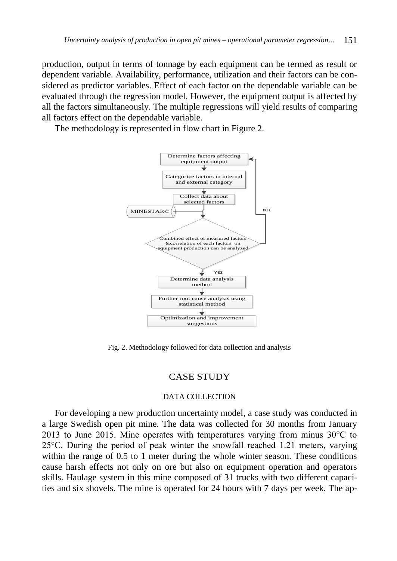production, output in terms of tonnage by each equipment can be termed as result or dependent variable. Availability, performance, utilization and their factors can be considered as predictor variables. Effect of each factor on the dependable variable can be evaluated through the regression model. However, the equipment output is affected by all the factors simultaneously. The multiple regressions will yield results of comparing all factors effect on the dependable variable.

The methodology is represented in flow chart in Figure 2.



Fig. 2. Methodology followed for data collection and analysis

# CASE STUDY

#### DATA COLLECTION

For developing a new production uncertainty model, a case study was conducted in a large Swedish open pit mine. The data was collected for 30 months from January 2013 to June 2015. Mine operates with temperatures varying from minus  $30^{\circ}$ C to 25°C. During the period of peak winter the snowfall reached 1.21 meters, varying within the range of 0.5 to 1 meter during the whole winter season. These conditions cause harsh effects not only on ore but also on equipment operation and operators skills. Haulage system in this mine composed of 31 trucks with two different capacities and six shovels. The mine is operated for 24 hours with 7 days per week. The ap-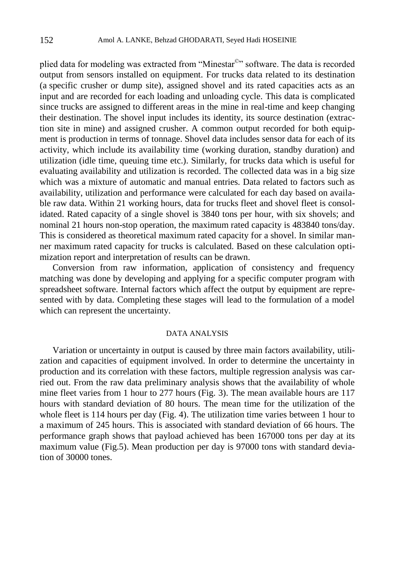plied data for modeling was extracted from "Minestar<sup>®</sup>" software. The data is recorded output from sensors installed on equipment. For trucks data related to its destination (a specific crusher or dump site), assigned shovel and its rated capacities acts as an input and are recorded for each loading and unloading cycle. This data is complicated since trucks are assigned to different areas in the mine in real-time and keep changing their destination. The shovel input includes its identity, its source destination (extraction site in mine) and assigned crusher. A common output recorded for both equipment is production in terms of tonnage. Shovel data includes sensor data for each of its activity, which include its availability time (working duration, standby duration) and utilization (idle time, queuing time etc.). Similarly, for trucks data which is useful for evaluating availability and utilization is recorded. The collected data was in a big size which was a mixture of automatic and manual entries. Data related to factors such as availability, utilization and performance were calculated for each day based on available raw data. Within 21 working hours, data for trucks fleet and shovel fleet is consolidated. Rated capacity of a single shovel is 3840 tons per hour, with six shovels; and nominal 21 hours non-stop operation, the maximum rated capacity is 483840 tons/day. This is considered as theoretical maximum rated capacity for a shovel. In similar manner maximum rated capacity for trucks is calculated. Based on these calculation optimization report and interpretation of results can be drawn.

Conversion from raw information, application of consistency and frequency matching was done by developing and applying for a specific computer program with spreadsheet software. Internal factors which affect the output by equipment are represented with by data. Completing these stages will lead to the formulation of a model which can represent the uncertainty.

## DATA ANALYSIS

Variation or uncertainty in output is caused by three main factors availability, utilization and capacities of equipment involved. In order to determine the uncertainty in production and its correlation with these factors, multiple regression analysis was carried out. From the raw data preliminary analysis shows that the availability of whole mine fleet varies from 1 hour to 277 hours (Fig. 3). The mean available hours are 117 hours with standard deviation of 80 hours. The mean time for the utilization of the whole fleet is 114 hours per day (Fig. 4). The utilization time varies between 1 hour to a maximum of 245 hours. This is associated with standard deviation of 66 hours. The performance graph shows that payload achieved has been 167000 tons per day at its maximum value (Fig.5). Mean production per day is 97000 tons with standard deviation of 30000 tones.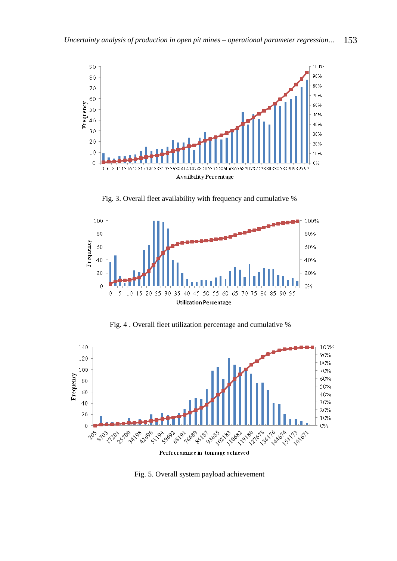

Fig. 3. Overall fleet availability with frequency and cumulative %



Fig. 4 . Overall fleet utilization percentage and cumulative %



Perfroramnce in tonnage achieved

Fig. 5. Overall system payload achievement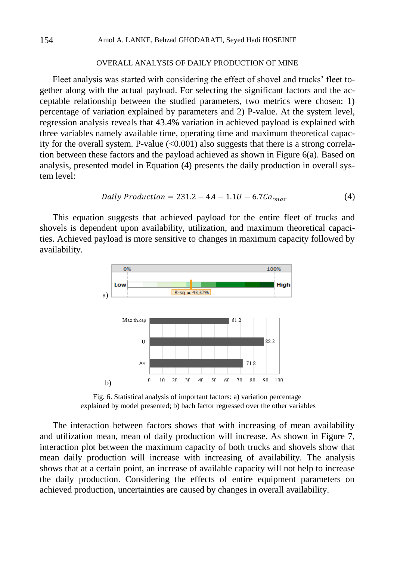### OVERALL ANALYSIS OF DAILY PRODUCTION OF MINE

Fleet analysis was started with considering the effect of shovel and trucks' fleet together along with the actual payload. For selecting the significant factors and the acceptable relationship between the studied parameters, two metrics were chosen: 1) percentage of variation explained by parameters and 2) P-value. At the system level, regression analysis reveals that 43.4% variation in achieved payload is explained with three variables namely available time, operating time and maximum theoretical capacity for the overall system. P-value  $(<0.001$ ) also suggests that there is a strong correlation between these factors and the payload achieved as shown in Figure  $6(a)$ . Based on analysis, presented model in Equation (4) presents the daily production in overall system level:

Daily Production = 
$$
231.2 - 4A - 1.1U - 6.7Ca_{max}
$$
 (4)

This equation suggests that achieved payload for the entire fleet of trucks and shovels is dependent upon availability, utilization, and maximum theoretical capacities. Achieved payload is more sensitive to changes in maximum capacity followed by availability.



Fig. 6. Statistical analysis of important factors: a) variation percentage explained by model presented; b) bach factor regressed over the other variables

The interaction between factors shows that with increasing of mean availability and utilization mean, mean of daily production will increase. As shown in Figure 7, interaction plot between the maximum capacity of both trucks and shovels show that mean daily production will increase with increasing of availability. The analysis shows that at a certain point, an increase of available capacity will not help to increase the daily production. Considering the effects of entire equipment parameters on achieved production, uncertainties are caused by changes in overall availability.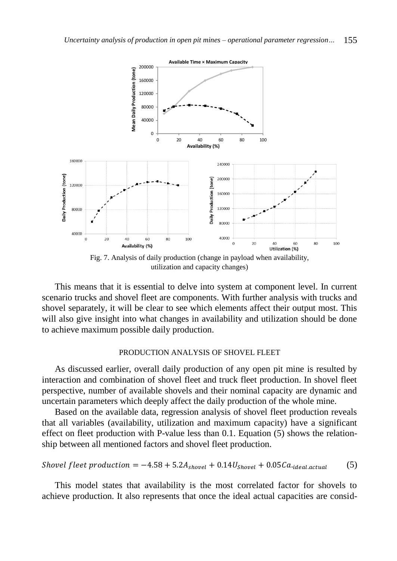

Fig. 7. Analysis of daily production (change in payload when availability, utilization and capacity changes)

This means that it is essential to delve into system at component level. In current scenario trucks and shovel fleet are components. With further analysis with trucks and shovel separately, it will be clear to see which elements affect their output most. This will also give insight into what changes in availability and utilization should be done to achieve maximum possible daily production.

## PRODUCTION ANALYSIS OF SHOVEL FLEET

As discussed earlier, overall daily production of any open pit mine is resulted by interaction and combination of shovel fleet and truck fleet production. In shovel fleet perspective, number of available shovels and their nominal capacity are dynamic and uncertain parameters which deeply affect the daily production of the whole mine.

Based on the available data, regression analysis of shovel fleet production reveals that all variables (availability, utilization and maximum capacity) have a significant effect on fleet production with P-value less than 0.1. Equation (5) shows the relationship between all mentioned factors and shovel fleet production.

*Should fleet production* = 
$$
-4.58 + 5.2A_{shovel} + 0.14U_{shovel} + 0.05Ca_{ideal.actual}
$$
 (5)

This model states that availability is the most correlated factor for shovels to achieve production. It also represents that once the ideal actual capacities are consid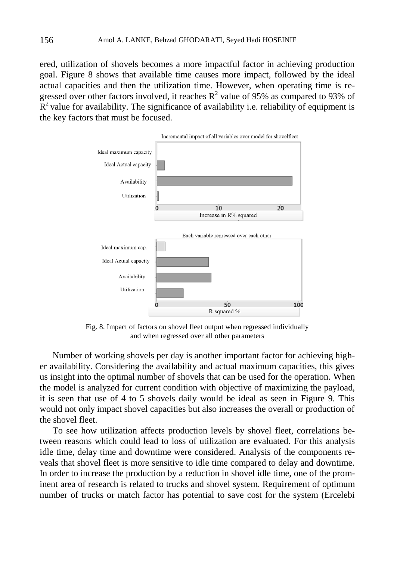ered, utilization of shovels becomes a more impactful factor in achieving production goal. Figure 8 shows that available time causes more impact, followed by the ideal actual capacities and then the utilization time. However, when operating time is regressed over other factors involved, it reaches  $R^2$  value of 95% as compared to 93% of  $R<sup>2</sup>$  value for availability. The significance of availability i.e. reliability of equipment is the key factors that must be focused.



Fig. 8. Impact of factors on shovel fleet output when regressed individually and when regressed over all other parameters

Number of working shovels per day is another important factor for achieving higher availability. Considering the availability and actual maximum capacities, this gives us insight into the optimal number of shovels that can be used for the operation. When the model is analyzed for current condition with objective of maximizing the payload, it is seen that use of 4 to 5 shovels daily would be ideal as seen in Figure 9. This would not only impact shovel capacities but also increases the overall or production of the shovel fleet.

To see how utilization affects production levels by shovel fleet, correlations between reasons which could lead to loss of utilization are evaluated. For this analysis idle time, delay time and downtime were considered. Analysis of the components reveals that shovel fleet is more sensitive to idle time compared to delay and downtime. In order to increase the production by a reduction in shovel idle time, one of the prominent area of research is related to trucks and shovel system. Requirement of optimum number of trucks or match factor has potential to save cost for the system (Ercelebi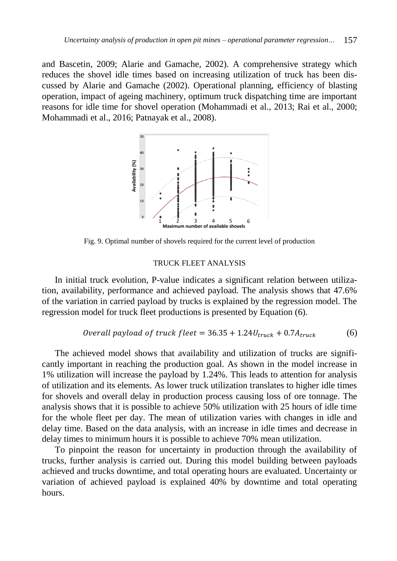and Bascetin, 2009; Alarie and Gamache, 2002). A comprehensive strategy which reduces the shovel idle times based on increasing utilization of truck has been discussed by Alarie and Gamache (2002). Operational planning, efficiency of blasting operation, impact of ageing machinery, optimum truck dispatching time are important reasons for idle time for shovel operation (Mohammadi et al., 2013; Rai et al., 2000; Mohammadi et al., 2016; Patnayak et al., 2008).



Fig. 9. Optimal number of shovels required for the current level of production

# TRUCK FLEET ANALYSIS

In initial truck evolution, P-value indicates a significant relation between utilization, availability, performance and achieved payload. The analysis shows that 47.6% of the variation in carried payload by trucks is explained by the regression model. The regression model for truck fleet productions is presented by Equation (6).

*Overall payload of truck fleet* = 
$$
36.35 + 1.24U_{\text{truck}} + 0.7A_{\text{truck}}
$$
 (6)

The achieved model shows that availability and utilization of trucks are significantly important in reaching the production goal. As shown in the model increase in 1% utilization will increase the payload by 1.24%. This leads to attention for analysis of utilization and its elements. As lower truck utilization translates to higher idle times for shovels and overall delay in production process causing loss of ore tonnage. The analysis shows that it is possible to achieve 50% utilization with 25 hours of idle time for the whole fleet per day. The mean of utilization varies with changes in idle and delay time. Based on the data analysis, with an increase in idle times and decrease in delay times to minimum hours it is possible to achieve 70% mean utilization.

To pinpoint the reason for uncertainty in production through the availability of trucks, further analysis is carried out. During this model building between payloads achieved and trucks downtime, and total operating hours are evaluated. Uncertainty or variation of achieved payload is explained 40% by downtime and total operating hours.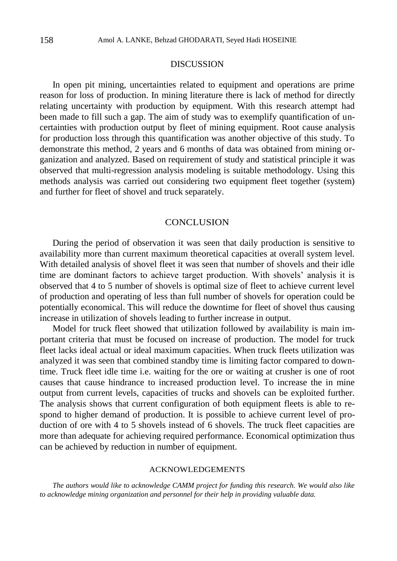# **DISCUSSION**

In open pit mining, uncertainties related to equipment and operations are prime reason for loss of production. In mining literature there is lack of method for directly relating uncertainty with production by equipment. With this research attempt had been made to fill such a gap. The aim of study was to exemplify quantification of uncertainties with production output by fleet of mining equipment. Root cause analysis for production loss through this quantification was another objective of this study. To demonstrate this method, 2 years and 6 months of data was obtained from mining organization and analyzed. Based on requirement of study and statistical principle it was observed that multi-regression analysis modeling is suitable methodology. Using this methods analysis was carried out considering two equipment fleet together (system) and further for fleet of shovel and truck separately.

## **CONCLUSION**

During the period of observation it was seen that daily production is sensitive to availability more than current maximum theoretical capacities at overall system level. With detailed analysis of shovel fleet it was seen that number of shovels and their idle time are dominant factors to achieve target production. With shovels' analysis it is observed that 4 to 5 number of shovels is optimal size of fleet to achieve current level of production and operating of less than full number of shovels for operation could be potentially economical. This will reduce the downtime for fleet of shovel thus causing increase in utilization of shovels leading to further increase in output.

Model for truck fleet showed that utilization followed by availability is main important criteria that must be focused on increase of production. The model for truck fleet lacks ideal actual or ideal maximum capacities. When truck fleets utilization was analyzed it was seen that combined standby time is limiting factor compared to downtime. Truck fleet idle time i.e. waiting for the ore or waiting at crusher is one of root causes that cause hindrance to increased production level. To increase the in mine output from current levels, capacities of trucks and shovels can be exploited further. The analysis shows that current configuration of both equipment fleets is able to respond to higher demand of production. It is possible to achieve current level of production of ore with 4 to 5 shovels instead of 6 shovels. The truck fleet capacities are more than adequate for achieving required performance. Economical optimization thus can be achieved by reduction in number of equipment.

#### ACKNOWLEDGEMENTS

*The authors would like to acknowledge CAMM project for funding this research. We would also like to acknowledge mining organization and personnel for their help in providing valuable data.*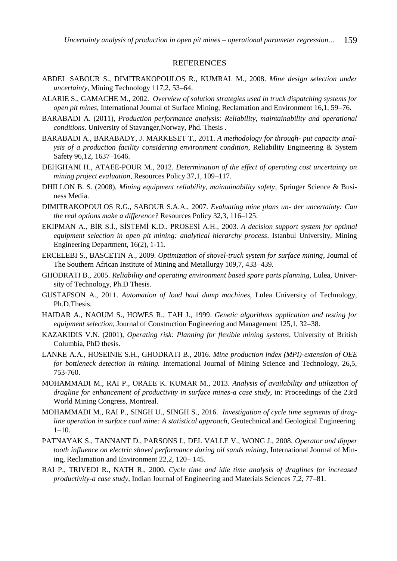#### **REFERENCES**

- ABDEL SABOUR S., DIMITRAKOPOULOS R., KUMRAL M., 2008. *Mine design selection under uncertainty*, Mining Technology 117,2, 53–64.
- ALARIE S., GAMACHE M., 2002. *Overview of solution strategies used in truck dispatching systems for open pit mines*, International Journal of Surface Mining, Reclamation and Environment 16,1, 59–76.
- BARABADI A. (2011), *Production performance analysis: Reliability, maintainability and operational conditions*. University of Stavanger,Norway, Phd. Thesis .
- BARABADI A., BARABADY, J. MARKESET T., 2011. *A methodology for through- put capacity analysis of a production facility considering environment condition*, Reliability Engineering & System Safety 96,12, 1637–1646.
- DEHGHANI H., ATAEE-POUR M., 2012. *Determination of the effect of operating cost uncertainty on mining project evaluation*, Resources Policy 37,1, 109–117.
- DHILLON B. S. (2008), *Mining equipment reliability, maintainability safety*, Springer Science & Business Media.
- DIMITRAKOPOULOS R.G., SABOUR S.A.A., 2007. *Evaluating mine plans un- der uncertainty: Can the real options make a difference?* Resources Policy 32,3, 116–125.
- EKIPMAN A., BİR S.İ., SİSTEMİ K.D., PROSESİ A.H., 2003. *A decision support system for optimal equipment selection in open pit mining: analytical hierarchy process*. Istanbul University, Mining Engineering Department, 16(2), 1-11.
- ERCELEBI S., BASCETIN A., 2009. *Optimization of shovel-truck system for surface mining*, Journal of The Southern African Institute of Mining and Metallurgy 109,7, 433–439.
- GHODRATI B., 2005. *Reliability and operating environment based spare parts planning*, Lulea, University of Technology, Ph.D Thesis.
- GUSTAFSON A., 2011. *Automation of load haul dump machines*, Lulea University of Technology, Ph.D.Thesis.
- HAIDAR A., NAOUM S., HOWES R., TAH J., 1999. *Genetic algorithms application and testing for equipment selection*, Journal of Construction Engineering and Management 125,1, 32–38.
- KAZAKIDIS V.N. (2001), *Operating risk: Planning for flexible mining systems*, University of British Columbia, PhD thesis.
- LANKE A.A., HOSEINIE S.H., GHODRATI B., 2016. *Mine production index (MPI)-extension of OEE for bottleneck detection in mining.* International Journal of Mining Science and Technology, 26,5, 753-760.
- MOHAMMADI M., RAI P., ORAEE K. KUMAR M., 2013. *Analysis of availability and utilization of dragline for enhancement of productivity in surface mines-a case study*, in: Proceedings of the 23rd World Mining Congress, Montreal.
- MOHAMMADI M., RAI P., SINGH U., SINGH S., 2016. *Investigation of cycle time segments of dragline operation in surface coal mine: A statistical approach*, Geotechnical and Geological Engineering.  $1-10.$
- PATNAYAK S., TANNANT D., PARSONS I., DEL VALLE V., WONG J., 2008. *Operator and dipper tooth influence on electric shovel performance during oil sands mining*, International Journal of Mining, Reclamation and Environment 22,2, 120– 145.
- RAI P., TRIVEDI R., NATH R., 2000. *Cycle time and idle time analysis of draglines for increased productivity-a case study*, Indian Journal of Engineering and Materials Sciences 7,2, 77–81.